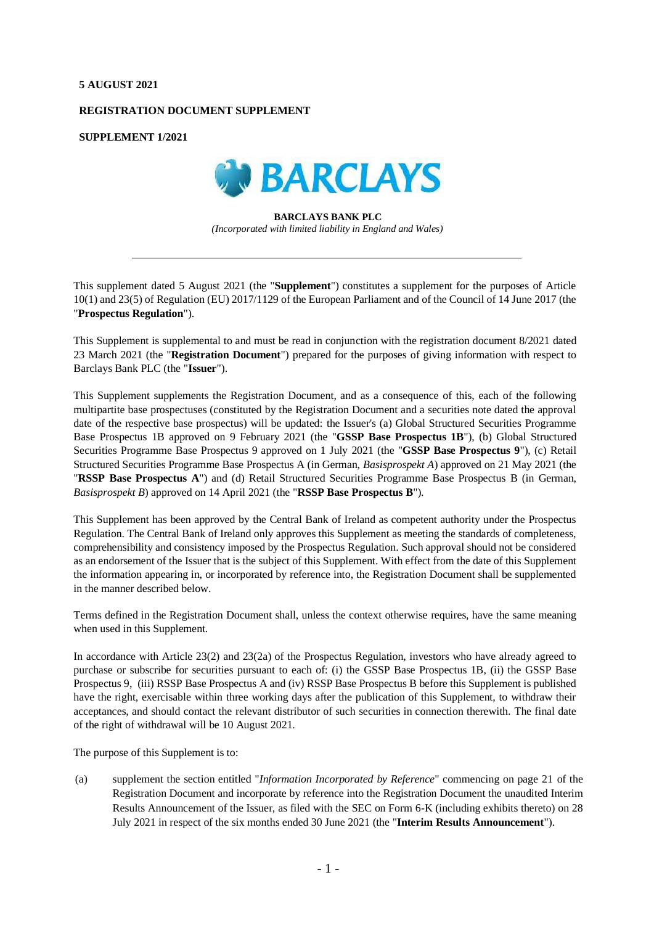## **5 AUGUST 2021**

### **REGISTRATION DOCUMENT SUPPLEMENT**

**SUPPLEMENT 1/2021**



# **BARCLAYS BANK PLC**

*(Incorporated with limited liability in England and Wales)*

This supplement dated 5 August 2021 (the "**Supplement**") constitutes a supplement for the purposes of Article 10(1) and 23(5) of Regulation (EU) 2017/1129 of the European Parliament and of the Council of 14 June 2017 (the "**Prospectus Regulation**").

This Supplement is supplemental to and must be read in conjunction with the registration document 8/2021 dated 23 March 2021 (the "**Registration Document**") prepared for the purposes of giving information with respect to Barclays Bank PLC (the "**Issuer**").

This Supplement supplements the Registration Document, and as a consequence of this, each of the following multipartite base prospectuses (constituted by the Registration Document and a securities note dated the approval date of the respective base prospectus) will be updated: the Issuer's (a) Global Structured Securities Programme Base Prospectus 1B approved on 9 February 2021 (the "**GSSP Base Prospectus 1B**"), (b) Global Structured Securities Programme Base Prospectus 9 approved on 1 July 2021 (the "**GSSP Base Prospectus 9**"), (c) Retail Structured Securities Programme Base Prospectus A (in German, *Basisprospekt A*) approved on 21 May 2021 (the "**RSSP Base Prospectus A**") and (d) Retail Structured Securities Programme Base Prospectus B (in German, *Basisprospekt B*) approved on 14 April 2021 (the "**RSSP Base Prospectus B**").

This Supplement has been approved by the Central Bank of Ireland as competent authority under the Prospectus Regulation. The Central Bank of Ireland only approves this Supplement as meeting the standards of completeness, comprehensibility and consistency imposed by the Prospectus Regulation. Such approval should not be considered as an endorsement of the Issuer that is the subject of this Supplement. With effect from the date of this Supplement the information appearing in, or incorporated by reference into, the Registration Document shall be supplemented in the manner described below.

Terms defined in the Registration Document shall, unless the context otherwise requires, have the same meaning when used in this Supplement.

In accordance with Article 23(2) and 23(2a) of the Prospectus Regulation, investors who have already agreed to purchase or subscribe for securities pursuant to each of: (i) the GSSP Base Prospectus 1B, (ii) the GSSP Base Prospectus 9, (iii) RSSP Base Prospectus A and (iv) RSSP Base Prospectus B before this Supplement is published have the right, exercisable within three working days after the publication of this Supplement, to withdraw their acceptances, and should contact the relevant distributor of such securities in connection therewith. The final date of the right of withdrawal will be 10 August 2021.

The purpose of this Supplement is to:

(a) supplement the section entitled "*Information Incorporated by Reference*" commencing on page 21 of the Registration Document and incorporate by reference into the Registration Document the unaudited Interim Results Announcement of the Issuer, as filed with the SEC on Form 6-K (including exhibits thereto) on 28 July 2021 in respect of the six months ended 30 June 2021 (the "**Interim Results Announcement**").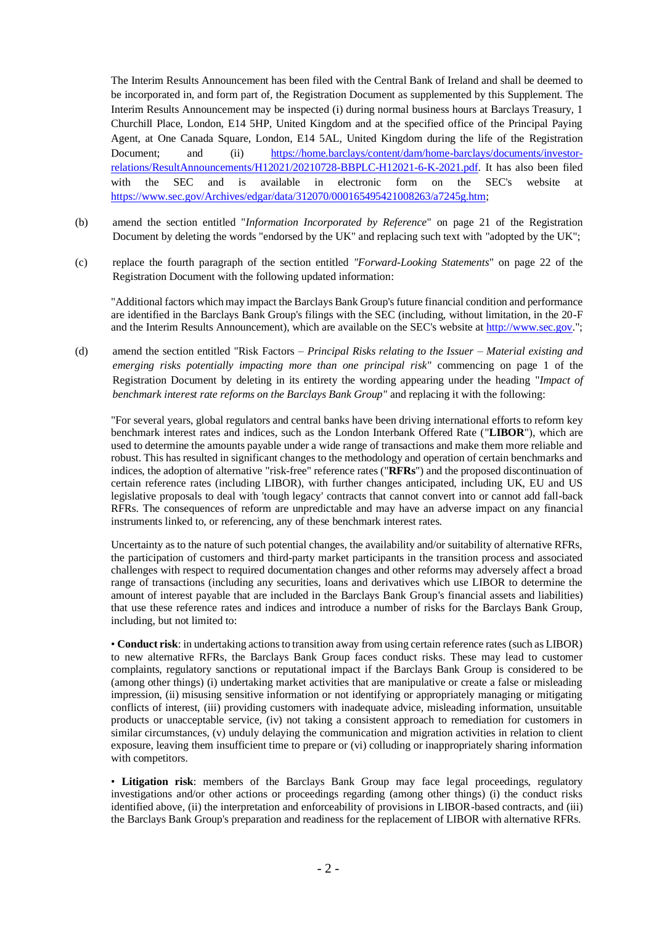The Interim Results Announcement has been filed with the Central Bank of Ireland and shall be deemed to be incorporated in, and form part of, the Registration Document as supplemented by this Supplement. The Interim Results Announcement may be inspected (i) during normal business hours at Barclays Treasury, 1 Churchill Place, London, E14 5HP, United Kingdom and at the specified office of the Principal Paying Agent, at One Canada Square, London, E14 5AL, United Kingdom during the life of the Registration Document; and (ii) [https://home.barclays/content/dam/home-barclays/documents/investor](https://home.barclays/content/dam/home-barclays/documents/investor-relations/ResultAnnouncements/H12021/20210728-BBPLC-H12021-6-K-2021.pdf)[relations/ResultAnnouncements/H12021/20210728-BBPLC-H12021-6-K-2021.pdf.](https://home.barclays/content/dam/home-barclays/documents/investor-relations/ResultAnnouncements/H12021/20210728-BBPLC-H12021-6-K-2021.pdf) It has also been filed with the SEC and is available in electronic form on the SEC's website at [https://www.sec.gov/Archives/edgar/data/312070/000165495421008263/a7245g.htm;](https://www.sec.gov/Archives/edgar/data/312070/000165495421008263/a7245g.htm)

- (b) amend the section entitled "*Information Incorporated by Reference*" on page 21 of the Registration Document by deleting the words "endorsed by the UK" and replacing such text with "adopted by the UK";
- (c) replace the fourth paragraph of the section entitled *"Forward-Looking Statements*" on page 22 of the Registration Document with the following updated information:

"Additional factors which may impact the Barclays Bank Group's future financial condition and performance are identified in the Barclays Bank Group's filings with the SEC (including, without limitation, in the 20-F and the Interim Results Announcement), which are available on the SEC's website a[t http://www.sec.gov.](http://www.sec.gov/)";

(d) amend the section entitled "Risk Factors – *Principal Risks relating to the Issuer – Material existing and emerging risks potentially impacting more than one principal risk*" commencing on page 1 of the Registration Document by deleting in its entirety the wording appearing under the heading "*Impact of benchmark interest rate reforms on the Barclays Bank Group"* and replacing it with the following:

"For several years, global regulators and central banks have been driving international efforts to reform key benchmark interest rates and indices, such as the London Interbank Offered Rate ("**LIBOR**"), which are used to determine the amounts payable under a wide range of transactions and make them more reliable and robust. This has resulted in significant changes to the methodology and operation of certain benchmarks and indices, the adoption of alternative "risk-free" reference rates ("**RFRs**") and the proposed discontinuation of certain reference rates (including LIBOR), with further changes anticipated, including UK, EU and US legislative proposals to deal with 'tough legacy' contracts that cannot convert into or cannot add fall-back RFRs. The consequences of reform are unpredictable and may have an adverse impact on any financial instruments linked to, or referencing, any of these benchmark interest rates.

Uncertainty as to the nature of such potential changes, the availability and/or suitability of alternative RFRs, the participation of customers and third-party market participants in the transition process and associated challenges with respect to required documentation changes and other reforms may adversely affect a broad range of transactions (including any securities, loans and derivatives which use LIBOR to determine the amount of interest payable that are included in the Barclays Bank Group's financial assets and liabilities) that use these reference rates and indices and introduce a number of risks for the Barclays Bank Group, including, but not limited to:

• **Conduct risk**: in undertaking actions to transition away from using certain reference rates (such as LIBOR) to new alternative RFRs, the Barclays Bank Group faces conduct risks. These may lead to customer complaints, regulatory sanctions or reputational impact if the Barclays Bank Group is considered to be (among other things) (i) undertaking market activities that are manipulative or create a false or misleading impression, (ii) misusing sensitive information or not identifying or appropriately managing or mitigating conflicts of interest, (iii) providing customers with inadequate advice, misleading information, unsuitable products or unacceptable service, (iv) not taking a consistent approach to remediation for customers in similar circumstances, (v) unduly delaying the communication and migration activities in relation to client exposure, leaving them insufficient time to prepare or (vi) colluding or inappropriately sharing information with competitors.

• **Litigation risk**: members of the Barclays Bank Group may face legal proceedings, regulatory investigations and/or other actions or proceedings regarding (among other things) (i) the conduct risks identified above, (ii) the interpretation and enforceability of provisions in LIBOR-based contracts, and (iii) the Barclays Bank Group's preparation and readiness for the replacement of LIBOR with alternative RFRs.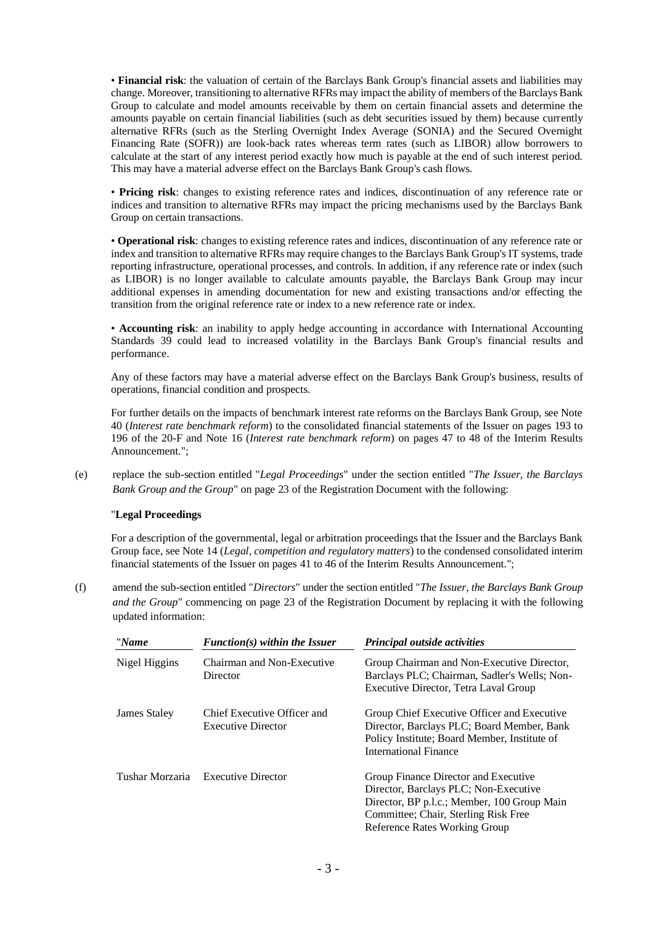• **Financial risk**: the valuation of certain of the Barclays Bank Group's financial assets and liabilities may change. Moreover, transitioning to alternative RFRs may impact the ability of members of the Barclays Bank Group to calculate and model amounts receivable by them on certain financial assets and determine the amounts payable on certain financial liabilities (such as debt securities issued by them) because currently alternative RFRs (such as the Sterling Overnight Index Average (SONIA) and the Secured Overnight Financing Rate (SOFR)) are look-back rates whereas term rates (such as LIBOR) allow borrowers to calculate at the start of any interest period exactly how much is payable at the end of such interest period. This may have a material adverse effect on the Barclays Bank Group's cash flows.

• **Pricing risk**: changes to existing reference rates and indices, discontinuation of any reference rate or indices and transition to alternative RFRs may impact the pricing mechanisms used by the Barclays Bank Group on certain transactions.

• **Operational risk**: changes to existing reference rates and indices, discontinuation of any reference rate or index and transition to alternative RFRs may require changes to the Barclays Bank Group's IT systems, trade reporting infrastructure, operational processes, and controls. In addition, if any reference rate or index (such as LIBOR) is no longer available to calculate amounts payable, the Barclays Bank Group may incur additional expenses in amending documentation for new and existing transactions and/or effecting the transition from the original reference rate or index to a new reference rate or index.

• **Accounting risk**: an inability to apply hedge accounting in accordance with International Accounting Standards 39 could lead to increased volatility in the Barclays Bank Group's financial results and performance.

Any of these factors may have a material adverse effect on the Barclays Bank Group's business, results of operations, financial condition and prospects.

For further details on the impacts of benchmark interest rate reforms on the Barclays Bank Group, see Note 40 (*Interest rate benchmark reform*) to the consolidated financial statements of the Issuer on pages 193 to 196 of the 20-F and Note 16 (*Interest rate benchmark reform*) on pages 47 to 48 of the Interim Results Announcement.";

(e) replace the sub-section entitled "*Legal Proceedings*" under the section entitled "*The Issuer, the Barclays Bank Group and the Group*" on page 23 of the Registration Document with the following:

### "**Legal Proceedings**

For a description of the governmental, legal or arbitration proceedings that the Issuer and the Barclays Bank Group face, see Note 14 (*Legal, competition and regulatory matters*) to the condensed consolidated interim financial statements of the Issuer on pages 41 to 46 of the Interim Results Announcement.";

(f) amend the sub-section entitled "*Directors*" under the section entitled "*The Issuer, the Barclays Bank Group and the Group*" commencing on page 23 of the Registration Document by replacing it with the following updated information:

| "Name           | $Function(s)$ within the Issuer                          | Principal outside activities                                                                                                                                                                          |
|-----------------|----------------------------------------------------------|-------------------------------------------------------------------------------------------------------------------------------------------------------------------------------------------------------|
| Nigel Higgins   | Chairman and Non-Executive<br>Director                   | Group Chairman and Non-Executive Director,<br>Barclays PLC; Chairman, Sadler's Wells; Non-<br>Executive Director, Tetra Laval Group                                                                   |
| James Staley    | Chief Executive Officer and<br><b>Executive Director</b> | Group Chief Executive Officer and Executive<br>Director, Barclays PLC; Board Member, Bank<br>Policy Institute; Board Member, Institute of<br>International Finance                                    |
| Tushar Morzaria | <b>Executive Director</b>                                | Group Finance Director and Executive<br>Director, Barclays PLC; Non-Executive<br>Director, BP p.l.c.; Member, 100 Group Main<br>Committee; Chair, Sterling Risk Free<br>Reference Rates Working Group |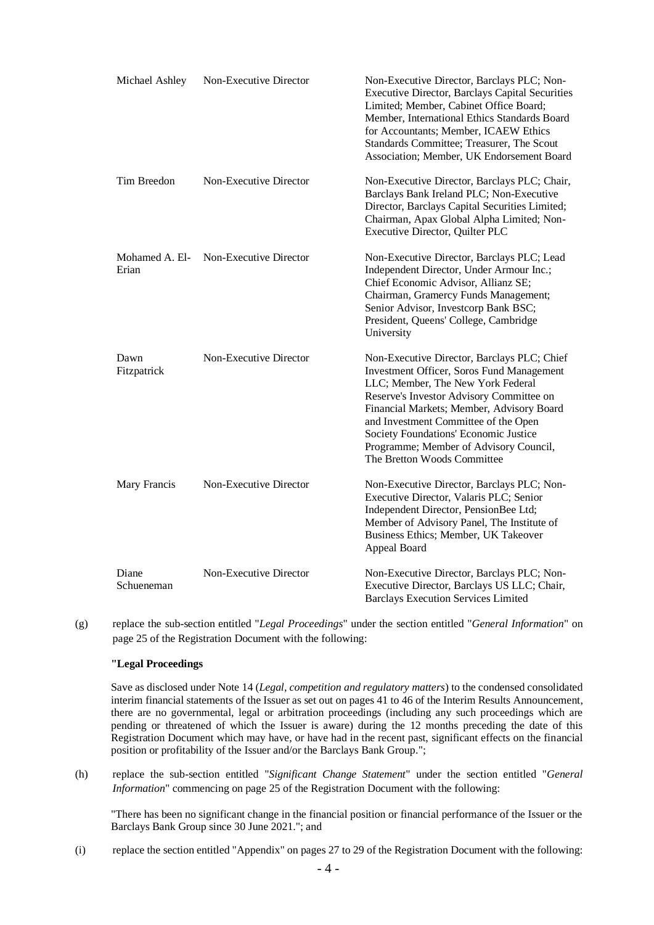| Michael Ashley          | Non-Executive Director        | Non-Executive Director, Barclays PLC; Non-<br><b>Executive Director, Barclays Capital Securities</b><br>Limited; Member, Cabinet Office Board;<br>Member, International Ethics Standards Board<br>for Accountants; Member, ICAEW Ethics<br>Standards Committee; Treasurer, The Scout<br>Association; Member, UK Endorsement Board                                                       |
|-------------------------|-------------------------------|-----------------------------------------------------------------------------------------------------------------------------------------------------------------------------------------------------------------------------------------------------------------------------------------------------------------------------------------------------------------------------------------|
| Tim Breedon             | <b>Non-Executive Director</b> | Non-Executive Director, Barclays PLC; Chair,<br>Barclays Bank Ireland PLC; Non-Executive<br>Director, Barclays Capital Securities Limited;<br>Chairman, Apax Global Alpha Limited; Non-<br>Executive Director, Quilter PLC                                                                                                                                                              |
| Mohamed A. El-<br>Erian | Non-Executive Director        | Non-Executive Director, Barclays PLC; Lead<br>Independent Director, Under Armour Inc.;<br>Chief Economic Advisor, Allianz SE;<br>Chairman, Gramercy Funds Management;<br>Senior Advisor, Investcorp Bank BSC;<br>President, Queens' College, Cambridge<br>University                                                                                                                    |
| Dawn<br>Fitzpatrick     | Non-Executive Director        | Non-Executive Director, Barclays PLC; Chief<br><b>Investment Officer, Soros Fund Management</b><br>LLC; Member, The New York Federal<br>Reserve's Investor Advisory Committee on<br>Financial Markets; Member, Advisory Board<br>and Investment Committee of the Open<br>Society Foundations' Economic Justice<br>Programme; Member of Advisory Council,<br>The Bretton Woods Committee |
| Mary Francis            | Non-Executive Director        | Non-Executive Director, Barclays PLC; Non-<br>Executive Director, Valaris PLC; Senior<br>Independent Director, PensionBee Ltd;<br>Member of Advisory Panel, The Institute of<br>Business Ethics; Member, UK Takeover<br>Appeal Board                                                                                                                                                    |
| Diane<br>Schueneman     | Non-Executive Director        | Non-Executive Director, Barclays PLC; Non-<br>Executive Director, Barclays US LLC; Chair,<br><b>Barclays Execution Services Limited</b>                                                                                                                                                                                                                                                 |

(g) replace the sub-section entitled "*Legal Proceedings*" under the section entitled "*General Information*" on page 25 of the Registration Document with the following:

#### **"Legal Proceedings**

Save as disclosed under Note 14 (*Legal, competition and regulatory matters*) to the condensed consolidated interim financial statements of the Issuer as set out on pages 41 to 46 of the Interim Results Announcement, there are no governmental, legal or arbitration proceedings (including any such proceedings which are pending or threatened of which the Issuer is aware) during the 12 months preceding the date of this Registration Document which may have, or have had in the recent past, significant effects on the financial position or profitability of the Issuer and/or the Barclays Bank Group.";

(h) replace the sub-section entitled "*Significant Change Statement*" under the section entitled "*General Information*" commencing on page 25 of the Registration Document with the following:

"There has been no significant change in the financial position or financial performance of the Issuer or the Barclays Bank Group since 30 June 2021."; and

(i) replace the section entitled "Appendix" on pages 27 to 29 of the Registration Document with the following: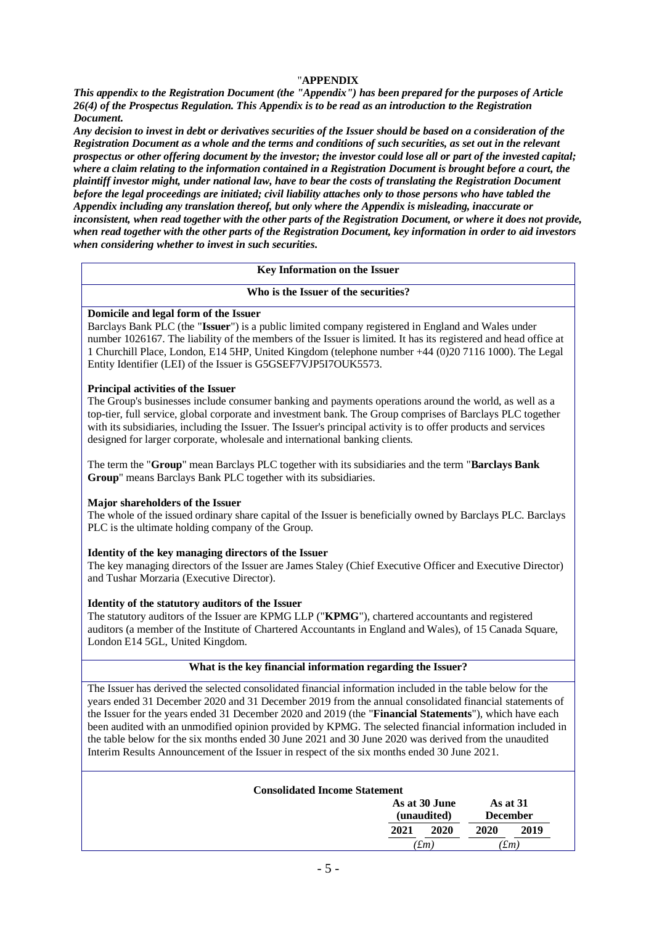## "**APPENDIX**

*This appendix to the Registration Document (the "Appendix") has been prepared for the purposes of Article 26(4) of the Prospectus Regulation. This Appendix is to be read as an introduction to the Registration Document.* 

*Any decision to invest in debt or derivatives securities of the Issuer should be based on a consideration of the Registration Document as a whole and the terms and conditions of such securities, as set out in the relevant prospectus or other offering document by the investor; the investor could lose all or part of the invested capital; where a claim relating to the information contained in a Registration Document is brought before a court, the plaintiff investor might, under national law, have to bear the costs of translating the Registration Document before the legal proceedings are initiated; civil liability attaches only to those persons who have tabled the Appendix including any translation thereof, but only where the Appendix is misleading, inaccurate or inconsistent, when read together with the other parts of the Registration Document, or where it does not provide, when read together with the other parts of the Registration Document, key information in order to aid investors when considering whether to invest in such securities.*

## **Key Information on the Issuer**

#### **Who is the Issuer of the securities?**

#### **Domicile and legal form of the Issuer**

Barclays Bank PLC (the "**Issuer**") is a public limited company registered in England and Wales under number 1026167. The liability of the members of the Issuer is limited. It has its registered and head office at 1 Churchill Place, London, E14 5HP, United Kingdom (telephone number +44 (0)20 7116 1000). The Legal Entity Identifier (LEI) of the Issuer is G5GSEF7VJP5I7OUK5573.

#### **Principal activities of the Issuer**

The Group's businesses include consumer banking and payments operations around the world, as well as a top-tier, full service, global corporate and investment bank. The Group comprises of Barclays PLC together with its subsidiaries, including the Issuer. The Issuer's principal activity is to offer products and services designed for larger corporate, wholesale and international banking clients.

The term the "**Group**" mean Barclays PLC together with its subsidiaries and the term "**Barclays Bank Group**" means Barclays Bank PLC together with its subsidiaries.

#### **Major shareholders of the Issuer**

The whole of the issued ordinary share capital of the Issuer is beneficially owned by Barclays PLC. Barclays PLC is the ultimate holding company of the Group.

#### **Identity of the key managing directors of the Issuer**

The key managing directors of the Issuer are James Staley (Chief Executive Officer and Executive Director) and Tushar Morzaria (Executive Director).

#### **Identity of the statutory auditors of the Issuer**

The statutory auditors of the Issuer are KPMG LLP ("**KPMG**"), chartered accountants and registered auditors (a member of the Institute of Chartered Accountants in England and Wales), of 15 Canada Square, London E14 5GL, United Kingdom.

## **What is the key financial information regarding the Issuer?**

The Issuer has derived the selected consolidated financial information included in the table below for the years ended 31 December 2020 and 31 December 2019 from the annual consolidated financial statements of the Issuer for the years ended 31 December 2020 and 2019 (the "**Financial Statements**"), which have each been audited with an unmodified opinion provided by KPMG. The selected financial information included in the table below for the six months ended 30 June 2021 and 30 June 2020 was derived from the unaudited Interim Results Announcement of the Issuer in respect of the six months ended 30 June 2021.

| <b>Consolidated Income Statement</b> |      |                              |                             |  |
|--------------------------------------|------|------------------------------|-----------------------------|--|
|                                      |      |                              | As at 31<br><b>December</b> |  |
| 2021                                 | 2020 | 2020                         | 2019                        |  |
|                                      |      | As at 30 June<br>(unaudited) |                             |  |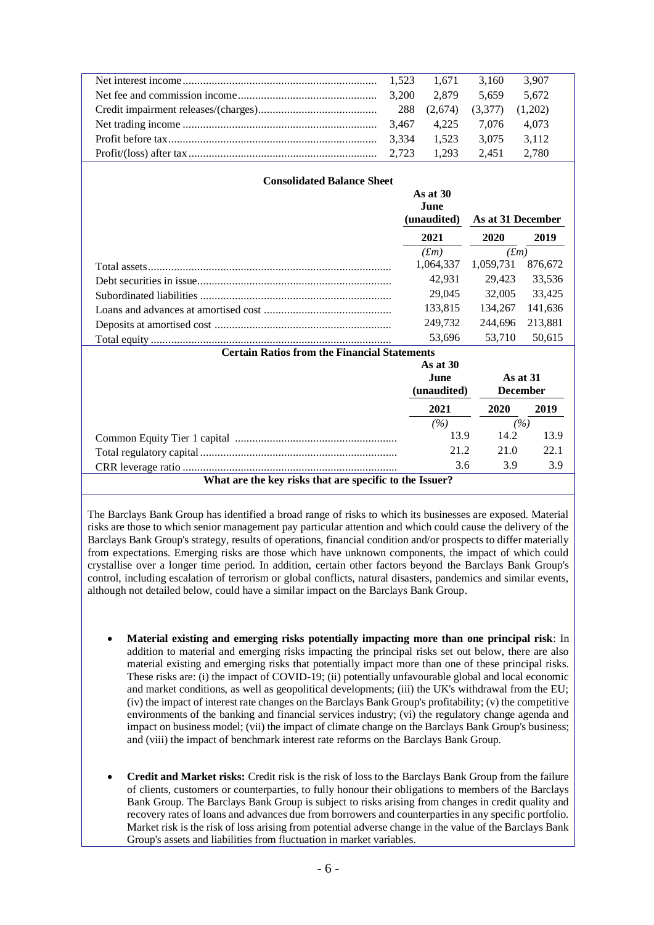|       |             | 3.160       | 3.907 |  |
|-------|-------------|-------------|-------|--|
|       |             | 5.659       | 5.672 |  |
|       |             |             |       |  |
|       | 3.467 4.225 | 7.076       | 4.073 |  |
| 3.334 | 1.523       | 3.075       | 3.112 |  |
|       |             | 2,451 2,780 |       |  |

| <b>Consolidated Balance Sheet</b>                       |                                |                   |         |  |  |
|---------------------------------------------------------|--------------------------------|-------------------|---------|--|--|
|                                                         | As at $30$<br><b>June</b>      |                   |         |  |  |
|                                                         | (unaudited)                    | As at 31 December |         |  |  |
|                                                         | 2021                           | 2020              | 2019    |  |  |
|                                                         | $(f_m)$                        | $(f_m)$           |         |  |  |
|                                                         | 1,064,337                      | 1,059,731         | 876,672 |  |  |
|                                                         | 42,931                         | 29,423            | 33,536  |  |  |
|                                                         | 29,045                         | 32,005            | 33,425  |  |  |
|                                                         | 133,815                        | 134,267           | 141,636 |  |  |
|                                                         | 249,732                        | 244,696           | 213,881 |  |  |
|                                                         | 53,696                         | 53,710            | 50,615  |  |  |
| <b>Certain Ratios from the Financial Statements</b>     |                                |                   |         |  |  |
|                                                         | As at $30$                     |                   |         |  |  |
|                                                         | June                           | As at $31$        |         |  |  |
|                                                         | (unaudited)<br><b>December</b> |                   |         |  |  |
|                                                         | 2021                           | 2020              | 2019    |  |  |
|                                                         | (%)                            | (%)               |         |  |  |
|                                                         | 13.9                           | 14.2              | 13.9    |  |  |
|                                                         | 21.2                           | 21.0              | 22.1    |  |  |
|                                                         | 3.6                            | 3.9               | 3.9     |  |  |
| What are the key risks that are specific to the Issuer? |                                |                   |         |  |  |

The Barclays Bank Group has identified a broad range of risks to which its businesses are exposed. Material risks are those to which senior management pay particular attention and which could cause the delivery of the Barclays Bank Group's strategy, results of operations, financial condition and/or prospects to differ materially from expectations. Emerging risks are those which have unknown components, the impact of which could crystallise over a longer time period. In addition, certain other factors beyond the Barclays Bank Group's control, including escalation of terrorism or global conflicts, natural disasters, pandemics and similar events, although not detailed below, could have a similar impact on the Barclays Bank Group.

- **Material existing and emerging risks potentially impacting more than one principal risk**: In addition to material and emerging risks impacting the principal risks set out below, there are also material existing and emerging risks that potentially impact more than one of these principal risks. These risks are: (i) the impact of COVID-19; (ii) potentially unfavourable global and local economic and market conditions, as well as geopolitical developments; (iii) the UK's withdrawal from the EU; (iv) the impact of interest rate changes on the Barclays Bank Group's profitability; (v) the competitive environments of the banking and financial services industry; (vi) the regulatory change agenda and impact on business model; (vii) the impact of climate change on the Barclays Bank Group's business; and (viii) the impact of benchmark interest rate reforms on the Barclays Bank Group.
- **Credit and Market risks:** Credit risk is the risk of loss to the Barclays Bank Group from the failure of clients, customers or counterparties, to fully honour their obligations to members of the Barclays Bank Group. The Barclays Bank Group is subject to risks arising from changes in credit quality and recovery rates of loans and advances due from borrowers and counterparties in any specific portfolio. Market risk is the risk of loss arising from potential adverse change in the value of the Barclays Bank Group's assets and liabilities from fluctuation in market variables.